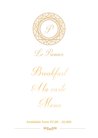



Breakfast





**Available from 07,00 - 10,00h**

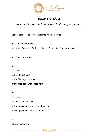

## *Basic Breakfast*

## *Included in the Bed and Breakfast rate per person*

Bakery basket (choice of ) with jams, honey & butter

and 2 drinks per person choice of : Tea, Milk, Coffee of choice, Fresh juice, Yoghurt plain / fruit

and 2 seasonal fruits

and

choice of:

two fried eggs plain

or two fried eggs with bacon

or two fried eggs with boiled ham

or

choice of:

two eggs omelets plain

or two eggs omelets with ham & cheese

or two eggs omelets with vegetables

or

ham & cheese plate

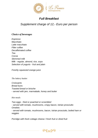

# *Full Breakfast*

# *Supplement charge of 12,- Euro per person*

#### *Choice of beverages*

*Espresso Macchiato Latte macchiato Filter coffee Decaffeinated coffee Tea Cocoa Skimmed milk Milk - regular, almond, rice, soya Selection of yogurts - fruit and plain*

*Freshly squeezed orange juice*

*The bakery basket* 

*Croissants Bread buns Toasted bread or brioche - served with jam, marmalade, honey and butter*

*Hot meals*

*Two eggs - fried or poached or scrambled - served with tomato, mushrooms, crispy bacon, Istrian prosciutto Omelets - served with tomato, mushrooms, bacon, Istrian prosciutto, boiled ham or veggies*

*Porridge with fresh cottage cheese / fresh fruit or dried fruit*